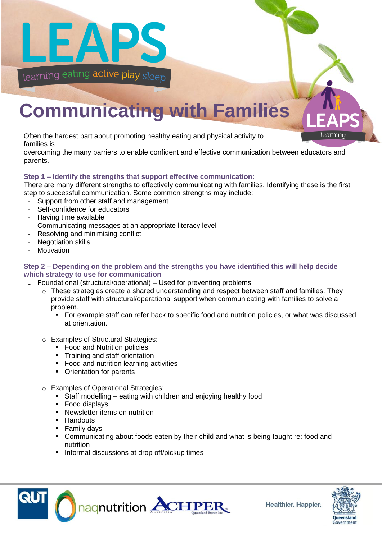

# **Communicating with Families**

Often the hardest part about promoting healthy eating and physical activity to families is

overcoming the many barriers to enable confident and effective communication between educators and parents.

### **Step 1 – Identify the strengths that support effective communication:**

There are many different strengths to effectively communicating with families. Identifying these is the first step to successful communication. Some common strengths may include:

- Support from other staff and management
- Self-confidence for educators
- Having time available
- Communicating messages at an appropriate literacy level
- Resolving and minimising conflict
- Negotiation skills
- **Motivation**

#### **Step 2 – Depending on the problem and the strengths you have identified this will help decide which strategy to use for communication**

- Foundational (structural/operational) Used for preventing problems
	- o These strategies create a shared understanding and respect between staff and families. They provide staff with structural/operational support when communicating with families to solve a problem.
		- For example staff can refer back to specific food and nutrition policies, or what was discussed at orientation.
	- o Examples of Structural Strategies:
		- **Food and Nutrition policies**
		- **Training and staff orientation**
		- **Food and nutrition learning activities**
		- Orientation for parents
	- o Examples of Operational Strategies:
		- Staff modelling eating with children and enjoying healthy food
		- Food displays
		- **Newsletter items on nutrition**
		- **Handouts**
		- Family days
		- Communicating about foods eaten by their child and what is being taught re: food and nutrition
		- **Informal discussions at drop off/pickup times**







learninc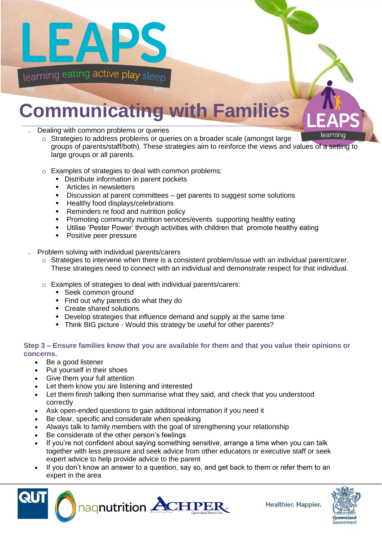

### **Communicating with Families**

- ₋ Dealing with common problems or queries
	- learninc  $\circ$  Strategies to address problems or queries on a broader scale (amongst large groups of parents/staff/both). These strategies aim to reinforce the views and values of a setting to large groups or all parents.
	- o Examples of strategies to deal with common problems:
		- **-** Distribute information in parent pockets
		- **Articles in newsletters**
		- **Discussion at parent committees get parents to suggest some solutions**
		- **Healthy food displays/celebrations**
		- **Reminders re food and nutrition policy**
		- **Promoting community nutrition services/events supporting healthy eating**
		- Utilise 'Pester Power' through activities with children that promote healthy eating
		- **Positive peer pressure**
- ₋ Problem solving with individual parents/carers
	- $\circ$  Strategies to intervene when there is a consistent problem/issue with an individual parent/carer. These strategies need to connect with an individual and demonstrate respect for that individual.
	- o Examples of strategies to deal with individual parents/carers:
		- **Seek common ground**
		- Find out why parents do what they do
		- Create shared solutions
		- **Develop strategies that influence demand and supply at the same time**
		- Think BIG picture Would this strategy be useful for other parents?

### **Step 3 – Ensure families know that you are available for them and that you value their opinions or concerns.**

- Be a good listener
- Put yourself in their shoes
- Give them your full attention
- Let them know you are listening and interested
- Let them finish talking then summarise what they said, and check that you understood correctly
- Ask open-ended questions to gain additional information if you need it
- Be clear, specific and considerate when speaking
- Always talk to family members with the goal of strengthening your relationship
- Be considerate of the other person's feelings
- If you're not confident about saying something sensitive, arrange a time when you can talk together with less pressure and seek advice from other educators or executive staff or seek expert advice to help provide advice to the parent
- If you don't know an answer to a question, say so, and get back to them or refer them to an expert in the area